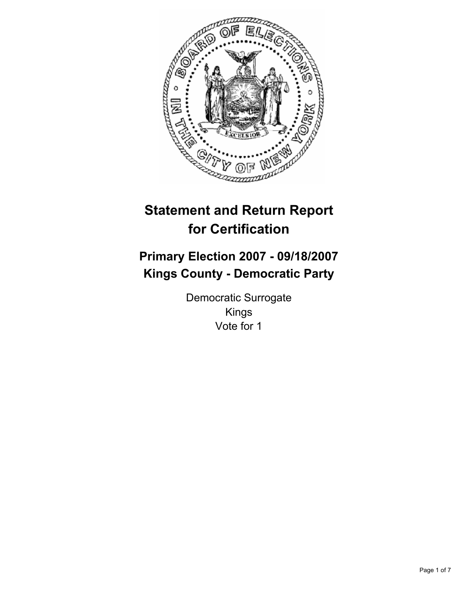

# **Statement and Return Report for Certification**

# **Primary Election 2007 - 09/18/2007 Kings County - Democratic Party**

Democratic Surrogate Kings Vote for 1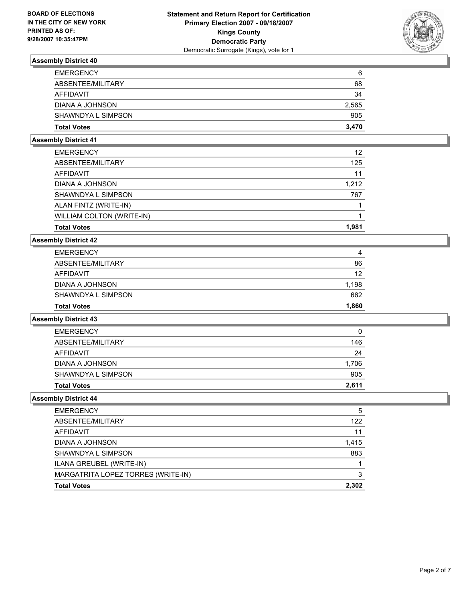

| 6     | <b>EMERGENCY</b>   |
|-------|--------------------|
| 68    | ABSENTEE/MILITARY  |
| 34    | AFFIDAVIT          |
| 2,565 | DIANA A JOHNSON    |
| 905   | SHAWNDYA L SIMPSON |
| 3,470 | <b>Total Votes</b> |
|       |                    |

## **Assembly District 41**

| <b>EMERGENCY</b>          | 12    |
|---------------------------|-------|
| ABSENTEE/MILITARY         | 125   |
| AFFIDAVIT                 | 11    |
| DIANA A JOHNSON           | 1,212 |
| SHAWNDYA L SIMPSON        | 767   |
| ALAN FINTZ (WRITE-IN)     |       |
| WILLIAM COLTON (WRITE-IN) |       |
| <b>Total Votes</b>        | 1.981 |

## **Assembly District 42**

| <b>Total Votes</b> | 1,860 |
|--------------------|-------|
| SHAWNDYA L SIMPSON | 662   |
| DIANA A JOHNSON    | 1,198 |
| AFFIDAVIT          | 12    |
| ABSENTEE/MILITARY  | 86    |
| <b>EMERGENCY</b>   | 4     |

#### **Assembly District 43**

| <b>EMERGENCY</b>   | 0     |
|--------------------|-------|
| ABSENTEE/MILITARY  | 146   |
| AFFIDAVIT          | 24    |
| DIANA A JOHNSON    | 1,706 |
| SHAWNDYA L SIMPSON | 905   |
| <b>Total Votes</b> | 2,611 |

| <b>EMERGENCY</b>                   | 5     |
|------------------------------------|-------|
| ABSENTEE/MILITARY                  | 122   |
| AFFIDAVIT                          | 11    |
| DIANA A JOHNSON                    | 1,415 |
| SHAWNDYA L SIMPSON                 | 883   |
| ILANA GREUBEL (WRITE-IN)           |       |
| MARGATRITA LOPEZ TORRES (WRITE-IN) | 3     |
| <b>Total Votes</b>                 | 2,302 |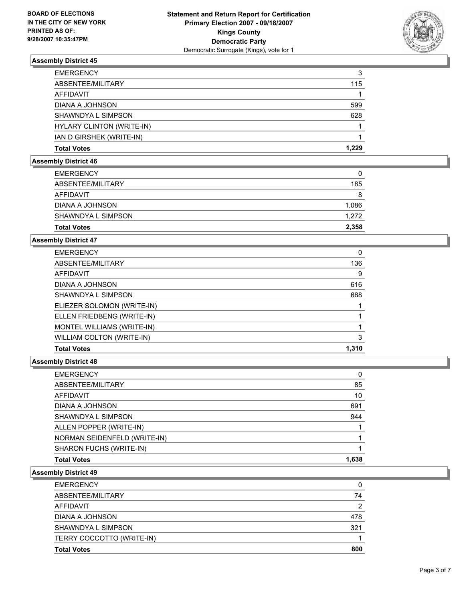

| <b>EMERGENCY</b>          | 3     |
|---------------------------|-------|
| ABSENTEE/MILITARY         | 115   |
| AFFIDAVIT                 |       |
| DIANA A JOHNSON           | 599   |
| SHAWNDYA L SIMPSON        | 628   |
| HYLARY CLINTON (WRITE-IN) |       |
| IAN D GIRSHEK (WRITE-IN)  |       |
| <b>Total Votes</b>        | 1,229 |

## **Assembly District 46**

| <b>Total Votes</b> | 2,358 |
|--------------------|-------|
| SHAWNDYA L SIMPSON | 1,272 |
| DIANA A JOHNSON    | 1,086 |
| AFFIDAVIT          | 8     |
| ABSENTEE/MILITARY  | 185   |
| <b>EMERGENCY</b>   | 0     |

# **Assembly District 47**

| <b>EMERGENCY</b>           | 0     |
|----------------------------|-------|
| ABSENTEE/MILITARY          | 136   |
| AFFIDAVIT                  | 9     |
| DIANA A JOHNSON            | 616   |
| SHAWNDYA L SIMPSON         | 688   |
| ELIEZER SOLOMON (WRITE-IN) |       |
| ELLEN FRIEDBENG (WRITE-IN) |       |
| MONTEL WILLIAMS (WRITE-IN) |       |
| WILLIAM COLTON (WRITE-IN)  | າ     |
| <b>Total Votes</b>         | 1,310 |

## **Assembly District 48**

| <b>EMERGENCY</b>             |
|------------------------------|
| 85<br>ABSENTEE/MILITARY      |
| 10<br>AFFIDAVIT              |
| 691<br>DIANA A JOHNSON       |
| 944<br>SHAWNDYA L SIMPSON    |
| ALLEN POPPER (WRITE-IN)      |
| NORMAN SEIDENFELD (WRITE-IN) |
| SHARON FUCHS (WRITE-IN)      |
| 1,638<br><b>Total Votes</b>  |

| <b>Total Votes</b>        | 800 |
|---------------------------|-----|
| TERRY COCCOTTO (WRITE-IN) |     |
| SHAWNDYA L SIMPSON        | 321 |
| DIANA A JOHNSON           | 478 |
| <b>AFFIDAVIT</b>          | 2   |
| ABSENTEE/MILITARY         | 74  |
| <b>EMERGENCY</b>          | 0   |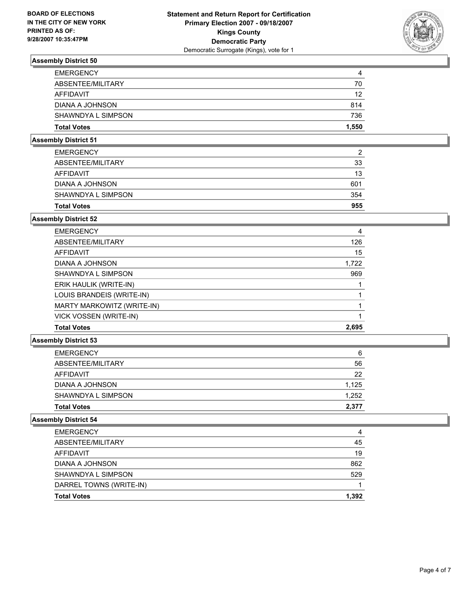

| 4     |
|-------|
| 70    |
| 12    |
| 814   |
| 736   |
| 1,550 |
|       |

## **Assembly District 51**

| <b>EMERGENCY</b>   | ົ   |
|--------------------|-----|
| ABSENTEE/MILITARY  | 33  |
| AFFIDAVIT          | 13  |
| DIANA A JOHNSON    | 601 |
| SHAWNDYA L SIMPSON | 354 |
| <b>Total Votes</b> | 955 |

# **Assembly District 52**

| <b>EMERGENCY</b>           | 4     |
|----------------------------|-------|
| ABSENTEE/MILITARY          | 126   |
| AFFIDAVIT                  | 15    |
| DIANA A JOHNSON            | 1,722 |
| SHAWNDYA L SIMPSON         | 969   |
| ERIK HAULIK (WRITE-IN)     |       |
| LOUIS BRANDEIS (WRITE-IN)  |       |
| MARTY MARKOWITZ (WRITE-IN) |       |
| VICK VOSSEN (WRITE-IN)     |       |
| <b>Total Votes</b>         | 2,695 |

### **Assembly District 53**

| ABSENTEE/MILITARY<br>AFFIDAVIT<br>DIANA A JOHNSON<br>SHAWNDYA L SIMPSON<br><b>Total Votes</b> | 6     |
|-----------------------------------------------------------------------------------------------|-------|
|                                                                                               | 56    |
|                                                                                               | 22    |
|                                                                                               | 1,125 |
|                                                                                               | 1,252 |
|                                                                                               | 2,377 |

| <b>EMERGENCY</b>        | 4     |
|-------------------------|-------|
| ABSENTEE/MILITARY       | 45    |
| AFFIDAVIT               | 19    |
| DIANA A JOHNSON         | 862   |
| SHAWNDYA L SIMPSON      | 529   |
| DARREL TOWNS (WRITE-IN) |       |
| <b>Total Votes</b>      | 1,392 |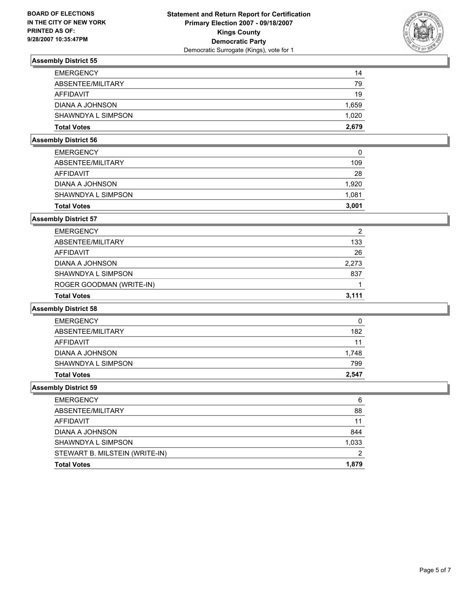

| <b>EMERGENCY</b>   | 14    |
|--------------------|-------|
| ABSENTEE/MILITARY  | 79    |
| AFFIDAVIT          | 19    |
| DIANA A JOHNSON    | 1,659 |
| SHAWNDYA L SIMPSON | 1,020 |
| <b>Total Votes</b> | 2,679 |

## **Assembly District 56**

| <b>Total Votes</b> | 3,001 |
|--------------------|-------|
| SHAWNDYA L SIMPSON | 1,081 |
| DIANA A JOHNSON    | 1,920 |
| AFFIDAVIT          | 28    |
| ABSENTEE/MILITARY  | 109   |
| <b>EMERGENCY</b>   | 0     |

## **Assembly District 57**

| <b>Total Votes</b>       | 3.111 |
|--------------------------|-------|
| ROGER GOODMAN (WRITE-IN) |       |
| SHAWNDYA L SIMPSON       | 837   |
| DIANA A JOHNSON          | 2,273 |
| AFFIDAVIT                | 26    |
| ABSENTEE/MILITARY        | 133   |
| <b>EMERGENCY</b>         | 2     |

## **Assembly District 58**

| <b>EMERGENCY</b>   | 0     |
|--------------------|-------|
| ABSENTEE/MILITARY  | 182   |
| AFFIDAVIT          | 11    |
| DIANA A JOHNSON    | 1,748 |
| SHAWNDYA L SIMPSON | 799   |
| <b>Total Votes</b> | 2,547 |

| 6     |
|-------|
| 88    |
| 11    |
| 844   |
| 1,033 |
|       |
| 1,879 |
|       |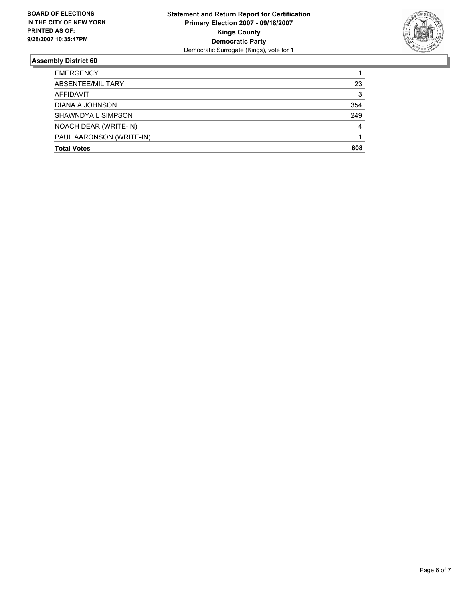

| <b>EMERGENCY</b>         |     |
|--------------------------|-----|
| ABSENTEE/MILITARY        | 23  |
| AFFIDAVIT                | 3   |
| DIANA A JOHNSON          | 354 |
| SHAWNDYA L SIMPSON       | 249 |
| NOACH DEAR (WRITE-IN)    |     |
| PAUL AARONSON (WRITE-IN) |     |
| <b>Total Votes</b>       | 608 |